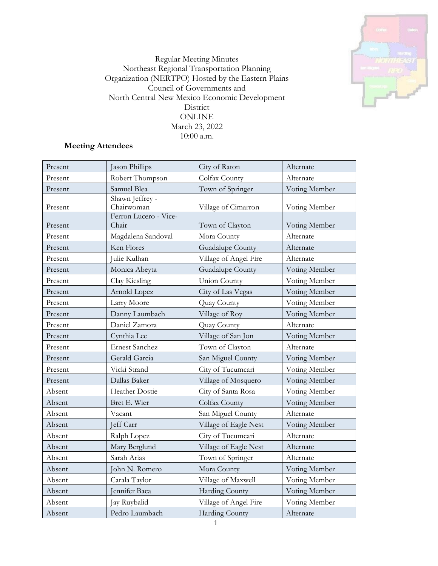

Regular Meeting Minutes Northeast Regional Transportation Planning Organization (NERTPO) Hosted by the Eastern Plains Council of Governments and North Central New Mexico Economic Development District ONLINE March 23, 2022 10:00 a.m.

# **Meeting Attendees**

| Present | Jason Phillips                 | City of Raton         | Alternate     |
|---------|--------------------------------|-----------------------|---------------|
| Present | Robert Thompson                | Colfax County         | Alternate     |
| Present | Samuel Blea                    | Town of Springer      | Voting Member |
| Present | Shawn Jeffrey -<br>Chairwoman  | Village of Cimarron   | Voting Member |
| Present | Ferron Lucero - Vice-<br>Chair | Town of Clayton       | Voting Member |
| Present | Magdalena Sandoval             | Mora County           | Alternate     |
| Present | Ken Flores                     | Guadalupe County      | Alternate     |
| Present | Julie Kulhan                   | Village of Angel Fire | Alternate     |
| Present | Monica Abeyta                  | Guadalupe County      | Voting Member |
| Present | Clay Kiesling                  | Union County          | Voting Member |
| Present | Arnold Lopez                   | City of Las Vegas     | Voting Member |
| Present | Larry Moore                    | Quay County           | Voting Member |
| Present | Danny Laumbach                 | Village of Roy        | Voting Member |
| Present | Daniel Zamora                  | Quay County           | Alternate     |
| Present | Cynthia Lee                    | Village of San Jon    | Voting Member |
| Present | <b>Ernest Sanchez</b>          | Town of Clayton       | Alternate     |
| Present | Gerald Garcia                  | San Miguel County     | Voting Member |
| Present | Vicki Strand                   | City of Tucumcari     | Voting Member |
| Present | Dallas Baker                   | Village of Mosquero   | Voting Member |
| Absent  | Heather Dostie                 | City of Santa Rosa    | Voting Member |
| Absent  | Bret E. Wier                   | Colfax County         | Voting Member |
| Absent  | Vacant                         | San Miguel County     | Alternate     |
| Absent  | Jeff Carr                      | Village of Eagle Nest | Voting Member |
| Absent  | Ralph Lopez                    | City of Tucumcari     | Alternate     |
| Absent  | Mary Berglund                  | Village of Eagle Nest | Alternate     |
| Absent  | Sarah Arias                    | Town of Springer      | Alternate     |
| Absent  | John N. Romero                 | Mora County           | Voting Member |
| Absent  | Carala Taylor                  | Village of Maxwell    | Voting Member |
| Absent  | Jennifer Baca                  | <b>Harding County</b> | Voting Member |
| Absent  | Jay Ruybalid                   | Village of Angel Fire | Voting Member |
| Absent  | Pedro Laumbach                 | Harding County        | Alternate     |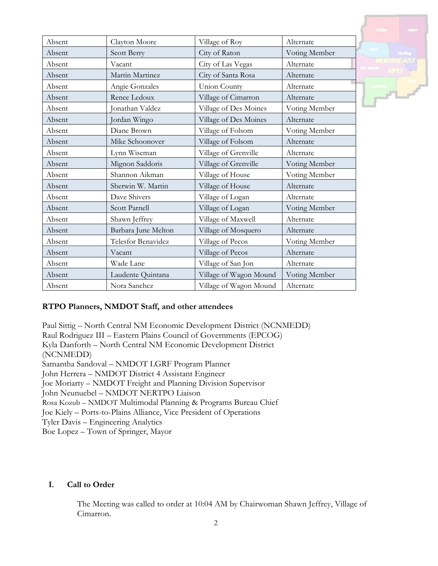| Absent | Clayton Moore       | Village of Roy         | Alternate     |
|--------|---------------------|------------------------|---------------|
| Absent | Scott Berry         | City of Raton          | Voting Member |
| Absent | Vacant              | City of Las Vegas      | Alternate     |
| Absent | Martin Martinez     | City of Santa Rosa     | Alternate     |
| Absent | Angie Gonzales      | Union County           | Alternate     |
| Absent | Renee Ledoux        | Village of Cimarron    | Alternate     |
| Absent | onathan Valdez      | Village of Des Moines  | Voting Member |
| Absent | Jordan Wingo        | Village of Des Moines  | Alternate     |
| Absent | Diane Brown         | Village of Folsom      | Voting Member |
| Absent | Mike Schoonover     | Village of Folsom      | Alternate     |
| Absent | Lynn Wiseman        | Village of Grenville   | Alternate     |
| Absent | Mignon Saddoris     | Village of Grenville   | Voting Member |
| Absent | Shannon Aikman      | Village of House       | Voting Member |
| Absent | Sherwin W. Martin   | Village of House       | Alternate     |
| Absent | Dave Shivers        | Village of Logan       | Alternate     |
| Absent | Scott Parnell       | Village of Logan       | Voting Member |
| Absent | Shawn Jeffrey       | Village of Maxwell     | Alternate     |
| Absent | Barbara June Melton | Village of Mosquero    | Alternate     |
| Absent | Telesfor Benavidez  | Village of Pecos       | Voting Member |
| Absent | Vacant              | Village of Pecos       | Alternate     |
| Absent | Wade Lane           | Village of San Jon     | Alternate     |
| Absent | Laudente Quintana   | Village of Wagon Mound | Voting Member |
| Absent | Nora Sanchez        | Village of Wagon Mound | Alternate     |

### **RTPO Planners, NMDOT Staff, and other attendees**

Paul Sittig – North Central NM Economic Development District (NCNMEDD) Raul Rodriguez III – Eastern Plains Council of Governments (EPCOG) Kyla Danforth – North Central NM Economic Development District (NCNMEDD) Samantha Sandoval – NMDOT LGRF Program Planner John Herrera – NMDOT District 4 Assistant Engineer Joe Moriarty – NMDOT Freight and Planning Division Supervisor John Neunuebel – NMDOT NERTPO Liaison Rosa Kozub – NMDOT Multimodal Planning & Programs Bureau Chief Joe Kiely – Ports-to-Plains Alliance, Vice President of Operations Tyler Davis – Engineering Analytics Boe Lopez – Town of Springer, Mayor

#### **I. Call to Order**

The Meeting was called to order at 10:04 AM by Chairwoman Shawn Jeffrey, Village of Cimarron.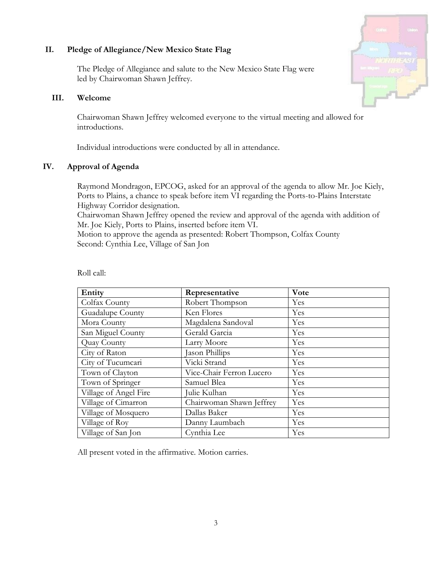### **II. Pledge of Allegiance/New Mexico State Flag**

The Pledge of Allegiance and salute to the New Mexico State Flag were led by Chairwoman Shawn Jeffrey.

### **III. Welcome**

Chairwoman Shawn Jeffrey welcomed everyone to the virtual meeting and allowed for introductions.

Individual introductions were conducted by all in attendance.

# **IV. Approval of Agenda**

Raymond Mondragon, EPCOG, asked for an approval of the agenda to allow Mr. Joe Kiely, Ports to Plains, a chance to speak before item VI regarding the Ports-to-Plains Interstate Highway Corridor designation.

Chairwoman Shawn Jeffrey opened the review and approval of the agenda with addition of Mr. Joe Kiely, Ports to Plains, inserted before item VI.

Motion to approve the agenda as presented: Robert Thompson, Colfax County Second: Cynthia Lee, Village of San Jon

| Entity                | Representative           | Vote |
|-----------------------|--------------------------|------|
| Colfax County         | Robert Thompson          | Yes  |
| Guadalupe County      | Ken Flores               | Yes  |
| Mora County           | Magdalena Sandoval       | Yes  |
| San Miguel County     | Gerald Garcia            | Yes  |
| Quay County           | Larry Moore              | Yes  |
| City of Raton         | Jason Phillips           | Yes  |
| City of Tucumcari     | Vicki Strand             | Yes  |
| Town of Clayton       | Vice-Chair Ferron Lucero | Yes  |
| Town of Springer      | Samuel Blea              | Yes  |
| Village of Angel Fire | Julie Kulhan             | Yes  |
| Village of Cimarron   | Chairwoman Shawn Jeffrey | Yes  |
| Village of Mosquero   | Dallas Baker             | Yes  |
| Village of Roy        | Danny Laumbach           | Yes  |
| Village of San Jon    | Cynthia Lee              | Yes  |

Roll call:

All present voted in the affirmative. Motion carries.

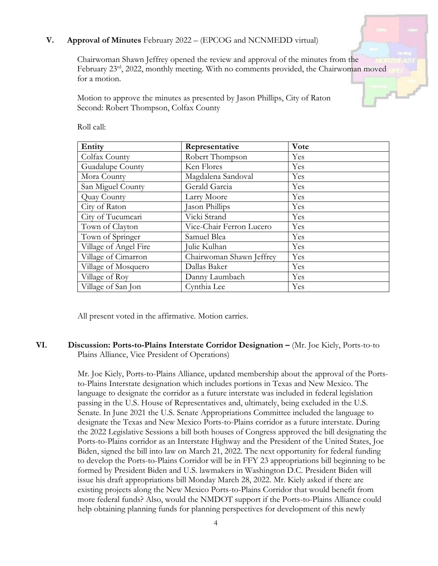### **V. Approval of Minutes** February 2022 – (EPCOG and NCNMEDD virtual)

Chairwoman Shawn Jeffrey opened the review and approval of the minutes from the February 23<sup>rd</sup>, 2022, monthly meeting. With no comments provided, the Chairwoman moved for a motion.

Motion to approve the minutes as presented by Jason Phillips, City of Raton Second: Robert Thompson, Colfax County

| Entity                | Representative           | Vote |
|-----------------------|--------------------------|------|
| Colfax County         | Robert Thompson          | Yes  |
| Guadalupe County      | Ken Flores               | Yes  |
| Mora County           | Magdalena Sandoval       | Yes  |
| San Miguel County     | Gerald Garcia            | Yes  |
| Quay County           | Larry Moore              | Yes  |
| City of Raton         | Jason Phillips           | Yes  |
| City of Tucumcari     | Vicki Strand             | Yes  |
| Town of Clayton       | Vice-Chair Ferron Lucero | Yes  |
| Town of Springer      | Samuel Blea              | Yes  |
| Village of Angel Fire | Julie Kulhan             | Yes  |
| Village of Cimarron   | Chairwoman Shawn Jeffrey | Yes  |
| Village of Mosquero   | Dallas Baker             | Yes  |
| Village of Roy        | Danny Laumbach           | Yes  |
| Village of San Jon    | Cynthia Lee              | Yes  |

Roll call:

All present voted in the affirmative. Motion carries.

#### **VI. Discussion: Ports-to-Plains Interstate Corridor Designation –** (Mr. Joe Kiely, Ports-to-to Plains Alliance, Vice President of Operations)

Mr. Joe Kiely, Ports-to-Plains Alliance, updated membership about the approval of the Portsto-Plains Interstate designation which includes portions in Texas and New Mexico. The language to designate the corridor as a future interstate was included in federal legislation passing in the U.S. House of Representatives and, ultimately, being excluded in the U.S. Senate. In June 2021 the U.S. Senate Appropriations Committee included the language to designate the Texas and New Mexico Ports-to-Plains corridor as a future interstate. During the 2022 Legislative Sessions a bill both houses of Congress approved the bill designating the Ports-to-Plains corridor as an Interstate Highway and the President of the United States, Joe Biden, signed the bill into law on March 21, 2022. The next opportunity for federal funding to develop the Ports-to-Plains Corridor will be in FFY 23 appropriations bill beginning to be formed by President Biden and U.S. lawmakers in Washington D.C. President Biden will issue his draft appropriations bill Monday March 28, 2022. Mr. Kiely asked if there are existing projects along the New Mexico Ports-to-Plains Corridor that would benefit from more federal funds? Also, would the NMDOT support if the Ports-to-Plains Alliance could help obtaining planning funds for planning perspectives for development of this newly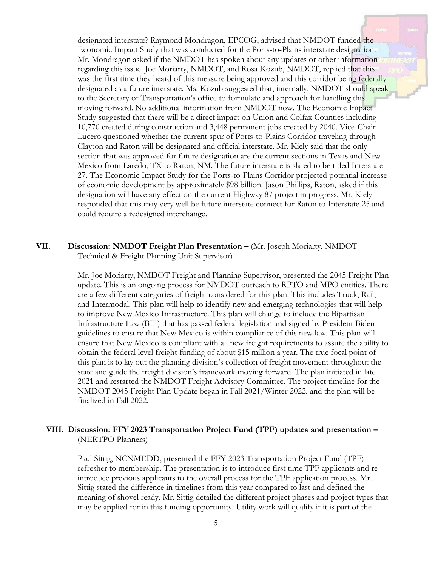designated interstate? Raymond Mondragon, EPCOG, advised that NMDOT funded the Economic Impact Study that was conducted for the Ports-to-Plains interstate designation. Mr. Mondragon asked if the NMDOT has spoken about any updates or other information regarding this issue. Joe Moriarty, NMDOT, and Rosa Kozub, NMDOT, replied that this was the first time they heard of this measure being approved and this corridor being federally designated as a future interstate. Ms. Kozub suggested that, internally, NMDOT should speak to the Secretary of Transportation's office to formulate and approach for handling this moving forward. No additional information from NMDOT now. The Economic Impact Study suggested that there will be a direct impact on Union and Colfax Counties including 10,770 created during construction and 3,448 permanent jobs created by 2040. Vice-Chair Lucero questioned whether the current spur of Ports-to-Plains Corridor traveling through Clayton and Raton will be designated and official interstate. Mr. Kiely said that the only section that was approved for future designation are the current sections in Texas and New Mexico from Laredo, TX to Raton, NM. The future interstate is slated to be titled Interstate 27. The Economic Impact Study for the Ports-to-Plains Corridor projected potential increase of economic development by approximately \$98 billion. Jason Phillips, Raton, asked if this designation will have any effect on the current Highway 87 project in progress. Mr. Kiely responded that this may very well be future interstate connect for Raton to Interstate 25 and could require a redesigned interchange.

### **VII. Discussion: NMDOT Freight Plan Presentation –** (Mr. Joseph Moriarty, NMDOT Technical & Freight Planning Unit Supervisor)

Mr. Joe Moriarty, NMDOT Freight and Planning Supervisor, presented the 2045 Freight Plan update. This is an ongoing process for NMDOT outreach to RPTO and MPO entities. There are a few different categories of freight considered for this plan. This includes Truck, Rail, and Intermodal. This plan will help to identify new and emerging technologies that will help to improve New Mexico Infrastructure. This plan will change to include the Bipartisan Infrastructure Law (BIL) that has passed federal legislation and signed by President Biden guidelines to ensure that New Mexico is within compliance of this new law. This plan will ensure that New Mexico is compliant with all new freight requirements to assure the ability to obtain the federal level freight funding of about \$15 million a year. The true focal point of this plan is to lay out the planning division's collection of freight movement throughout the state and guide the freight division's framework moving forward. The plan initiated in late 2021 and restarted the NMDOT Freight Advisory Committee. The project timeline for the NMDOT 2045 Freight Plan Update began in Fall 2021/Winter 2022, and the plan will be finalized in Fall 2022.

#### **VIII. Discussion: FFY 2023 Transportation Project Fund (TPF) updates and presentation –** (NERTPO Planners)

Paul Sittig, NCNMEDD, presented the FFY 2023 Transportation Project Fund (TPF) refresher to membership. The presentation is to introduce first time TPF applicants and reintroduce previous applicants to the overall process for the TPF application process. Mr. Sittig stated the difference in timelines from this year compared to last and defined the meaning of shovel ready. Mr. Sittig detailed the different project phases and project types that may be applied for in this funding opportunity. Utility work will qualify if it is part of the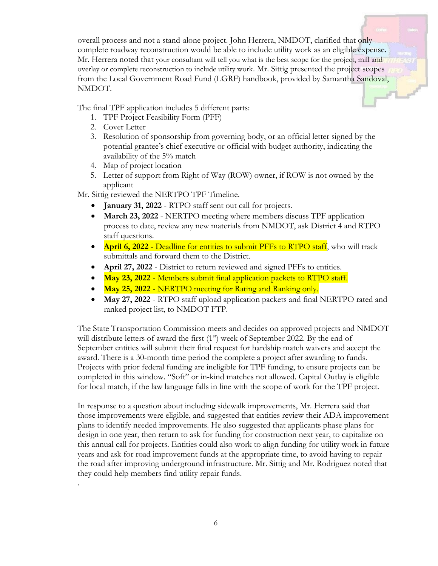overall process and not a stand-alone project. John Herrera, NMDOT, clarified that only complete roadway reconstruction would be able to include utility work as an eligible expense. Mr. Herrera noted that your consultant will tell you what is the best scope for the project, mill and overlay or complete reconstruction to include utility work. Mr. Sittig presented the project scopes from the Local Government Road Fund (LGRF) handbook, provided by Samantha Sandoval, NMDOT.

The final TPF application includes 5 different parts:

- 1. TPF Project Feasibility Form (PFF)
- 2. Cover Letter

.

- 3. Resolution of sponsorship from governing body, or an official letter signed by the potential grantee's chief executive or official with budget authority, indicating the availability of the 5% match
- 4. Map of project location
- 5. Letter of support from Right of Way (ROW) owner, if ROW is not owned by the applicant

Mr. Sittig reviewed the NERTPO TPF Timeline.

- **January 31, 2022** RTPO staff sent out call for projects.
- **March 23, 2022** NERTPO meeting where members discuss TPF application process to date, review any new materials from NMDOT, ask District 4 and RTPO staff questions.
- **April 6, 2022** Deadline for entities to submit PFFs to RTPO staff, who will track submittals and forward them to the District.
- April 27, 2022 District to return reviewed and signed PFFs to entities.
- **May 23, 2022** Members submit final application packets to RTPO staff.
- **May 25, 2022** NERTPO meeting for Rating and Ranking only.
- **May 27, 2022** RTPO staff upload application packets and final NERTPO rated and ranked project list, to NMDOT FTP.

The State Transportation Commission meets and decides on approved projects and NMDOT will distribute letters of award the first  $(1<sup>st</sup>)$  week of September 2022. By the end of September entities will submit their final request for hardship match waivers and accept the award. There is a 30-month time period the complete a project after awarding to funds. Projects with prior federal funding are ineligible for TPF funding, to ensure projects can be completed in this window. "Soft" or in-kind matches not allowed. Capital Outlay is eligible for local match, if the law language falls in line with the scope of work for the TPF project.

In response to a question about including sidewalk improvements, Mr. Herrera said that those improvements were eligible, and suggested that entities review their ADA improvement plans to identify needed improvements. He also suggested that applicants phase plans for design in one year, then return to ask for funding for construction next year, to capitalize on this annual call for projects. Entities could also work to align funding for utility work in future years and ask for road improvement funds at the appropriate time, to avoid having to repair the road after improving underground infrastructure. Mr. Sittig and Mr. Rodriguez noted that they could help members find utility repair funds.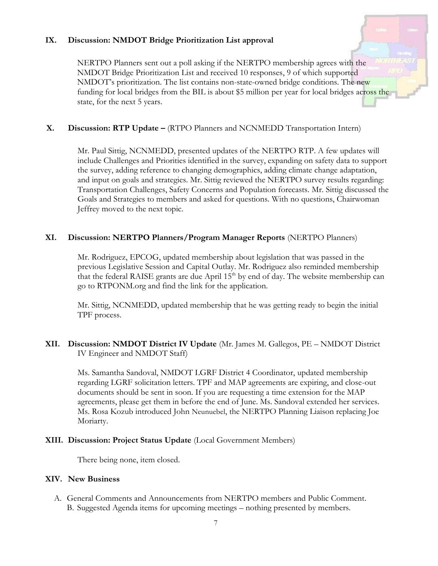#### **IX. Discussion: NMDOT Bridge Prioritization List approval**

NERTPO Planners sent out a poll asking if the NERTPO membership agrees with the NMDOT Bridge Prioritization List and received 10 responses, 9 of which supported NMDOT's prioritization. The list contains non-state-owned bridge conditions. The new funding for local bridges from the BIL is about \$5 million per year for local bridges across the state, for the next 5 years.

### **X. Discussion: RTP Update –** (RTPO Planners and NCNMEDD Transportation Intern)

Mr. Paul Sittig, NCNMEDD, presented updates of the NERTPO RTP. A few updates will include Challenges and Priorities identified in the survey, expanding on safety data to support the survey, adding reference to changing demographics, adding climate change adaptation, and input on goals and strategies. Mr. Sittig reviewed the NERTPO survey results regarding: Transportation Challenges, Safety Concerns and Population forecasts. Mr. Sittig discussed the Goals and Strategies to members and asked for questions. With no questions, Chairwoman Jeffrey moved to the next topic.

## **XI. Discussion: NERTPO Planners/Program Manager Reports** (NERTPO Planners)

Mr. Rodriguez, EPCOG, updated membership about legislation that was passed in the previous Legislative Session and Capital Outlay. Mr. Rodriguez also reminded membership that the federal RAISE grants are due April 15<sup>th</sup> by end of day. The website membership can go to RTPONM.org and find the link for the application.

Mr. Sittig, NCNMEDD, updated membership that he was getting ready to begin the initial TPF process.

## **XII. Discussion: NMDOT District IV Update** (Mr. James M. Gallegos, PE – NMDOT District IV Engineer and NMDOT Staff)

Ms. Samantha Sandoval, NMDOT LGRF District 4 Coordinator, updated membership regarding LGRF solicitation letters. TPF and MAP agreements are expiring, and close-out documents should be sent in soon. If you are requesting a time extension for the MAP agreements, please get them in before the end of June. Ms. Sandoval extended her services. Ms. Rosa Kozub introduced John Neunuebel, the NERTPO Planning Liaison replacing Joe Moriarty.

### **XIII. Discussion: Project Status Update** (Local Government Members)

There being none, item closed.

### **XIV. New Business**

A. General Comments and Announcements from NERTPO members and Public Comment. B. Suggested Agenda items for upcoming meetings – nothing presented by members.